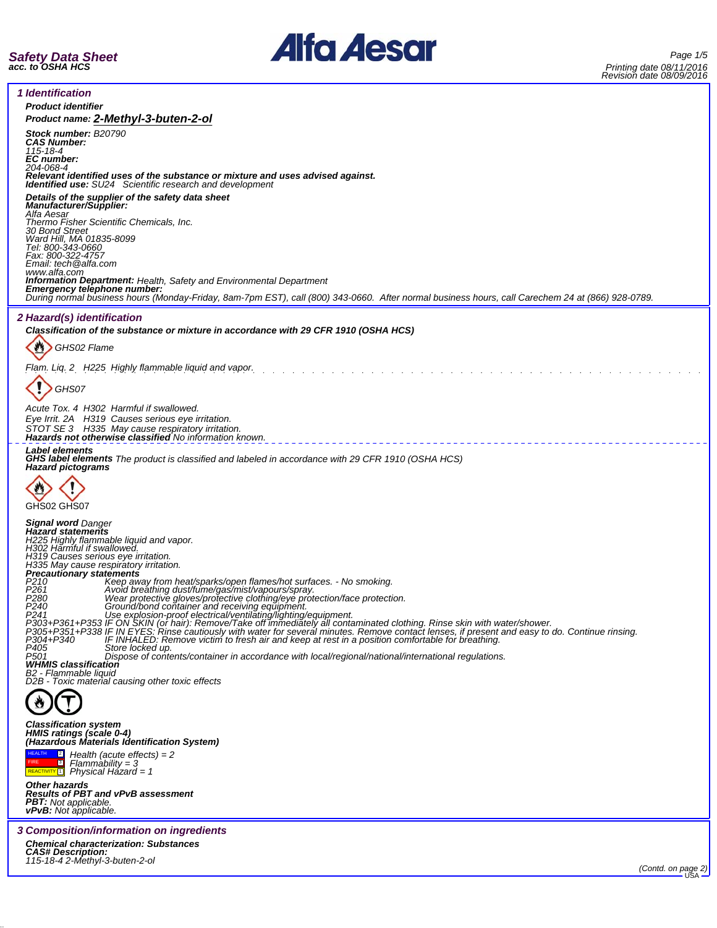



*1 Identification*

*Product identifier Product name: 2-Methyl-3-buten-2-ol Stock number: B20790 CAS Number: 115-18-4 EC number: 204-068-4 Relevant identified uses of the substance or mixture and uses advised against. Identified use: SU24 Scientific research and development Details of the supplier of the safety data sheet Manufacturer/Supplier: Alfa Aesar Thermo Fisher Scientific Chemicals, Inc. 30 Bond Street Ward Hill, MA 01835-8099 Tel: 800-343-0660 Fax: 800-322-4757 Email: tech@alfa.com* www.alfa.com<br>**Information Department:** Health, Safety and Environmental Department **Information Department:** Health, Safety and Environmental Department<br>**Emergency telephone number:**<br>During normal business hours (Monday-Friday, 8am-7pm EST), call (800) 343-0660. After normal business hours, call Carechem *2 Hazard(s) identification Classification of the substance or mixture in accordance with 29 CFR 1910 (OSHA HCS)* 舂 *GHS02 Flame Flam. Liq. 2 H225 Highly flammable liquid and vapor. GHS07 Acute Tox. 4 H302 Harmful if swallowed. Eye Irrit. 2A H319 Causes serious eye irritation. STOT SE 3 H335 May cause respiratory irritation. Hazards not otherwise classified No information known. Label elements GHS label elements The product is classified and labeled in accordance with 29 CFR 1910 (OSHA HCS) Hazard pictograms* I GHS02 GHS07 *Signal word Danger Hazard statements H225 Highly flammable liquid and vapor. H302 Harmful if swallowed. H319 Causes serious eye irritation. H335 May cause respiratory irritation. Precautionary statements P210 Keep away from heat/sparks/open flames/hot surfaces. - No smoking. P261 Avoid breathing dust/fume/gas/mist/vapours/spray. P280 Wear protective gloves/protective clothing/eye protection/face protection. P240 Ground/bond container and receiving equipment.* P241<br>P303+P361+P353 IF ON SKIN (or hair): Remove/Take off immediately all contaminated clothing. Rinse skin with water/shower.<br>P305+P351+P338 IF ON SKIN (or hair): Remove/Take off immediately all contaminated clothing. Rin *P501 Dispose of contents/container in accordance with local/regional/national/international regulations. WHMIS classification B2 - Flammable liquid D2B - Toxic material causing other toxic effects* ₩ *Classification system HMIS ratings (scale 0-4) (Hazardous Materials Identification System)* HEALTH 2 3 *Health (acute effects) = 2 Flammability = 3* **FIRE** *Physical Hazard = 1* REACTIVITY<sup>1</sup> *Other hazards Results of PBT and vPvB assessment PBT: Not applicable. vPvB: Not applicable. 3 Composition/information on ingredients Chemical characterization: Substances CAS# Description: 115-18-4 2-Methyl-3-buten-2-ol (Contd. on page 2)* USA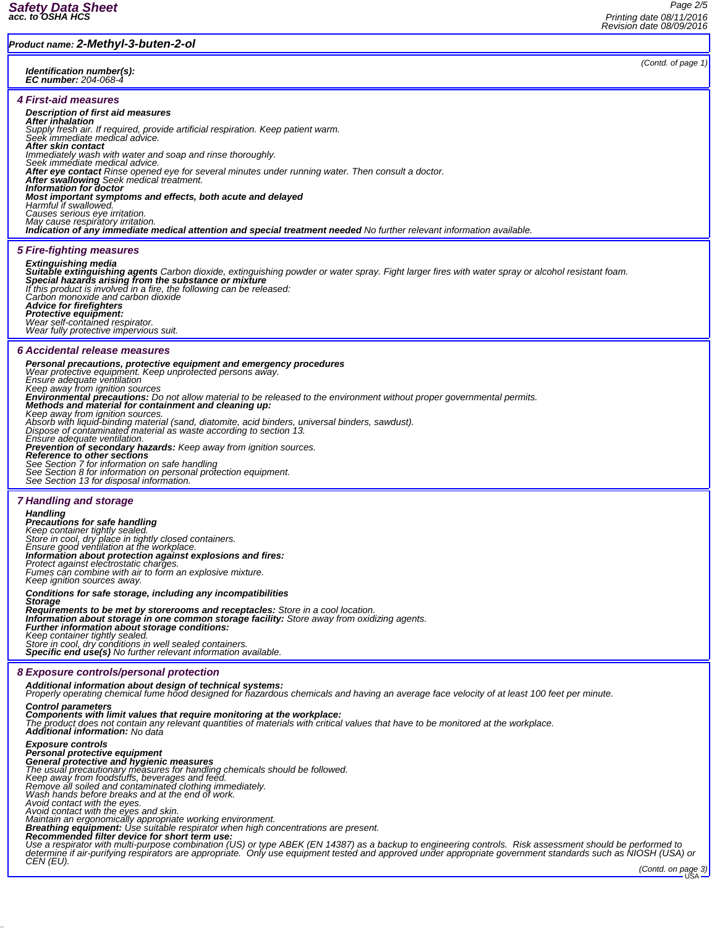### *Product name: 2-Methyl-3-buten-2-ol*

*Identification number(s): EC number: 204-068-4*

#### *4 First-aid measures*

#### *Description of first aid measures*

**After inhalation**<br>Supply fresh air. If required, provide artificial respiration. Keep patient warm.<br>Seek immediate medical advice.

*After skin contact*

*Immediately wash with water and soap and rinse thoroughly. Seek immediate medical advice.*

*After eye contact Rinse opened eye for several minutes under running water. Then consult a doctor. After swallowing Seek medical treatment. Information for doctor*

*Most important symptoms and effects, both acute and delayed Harmful if swallowed.*

*Causes serious eye irritation. May cause respiratory irritation.*

*Indication of any immediate medical attention and special treatment needed No further relevant information available.*

*5 Fire-fighting measures*

## *Extinguishing media Suitable extinguishing agents Carbon dioxide, extinguishing powder or water spray. Fight larger fires with water spray or alcohol resistant foam. Special hazards arising from the substance or mixture If this product is involved in a fire, the following can be released: Carbon monoxide and carbon dioxide*

*Advice for firefighters Protective equipment: Wear self-contained respirator. Wear fully protective impervious suit.*

#### *6 Accidental release measures*

**Personal precautions, protective equipment and emergency procedures**<br>Wear protective equipment. Keep unprotected persons away.<br>Ensure adequate ventilation *Keep away from ignition sources Environmental precautions: Do not allow material to be released to the environment without proper governmental permits. Methods and material for containment and cleaning up:* Keep away from ignition sources.<br>Absorb with liquid-binding material (sand, diatomite, acid binders, universal binders, sawdust).<br>Dispose of contaminated material as waste according to section 13.<br>Ensure adequate ventilati **Prevention of secondary hazards:** Keep away from ignition sources.<br>**Reference to other sections**<br>See Section 7 for information on safe handling<br>See Section 8 for information on personal protection equipment.<br>See Section 1 *7 Handling and storage Handling*

*Precautions for safe handling Keep container tightly sealed. Store in cool, dry place in tightly closed containers. Ensure good ventilation at the workplace.* **Information about protection against explosions and fires:<br>Protect against electrostatic charges.<br>Fumes can combine with air to form an explosive mixture.<br>Keep ignition sources away.** 

#### *Conditions for safe storage, including any incompatibilities*

Storage<br>Requirements to be met by storerooms and receptacles: Store in a cool location.<br>Information about storage in one common storage facility: Store away from oxidizing agents.<br>Further information about storage conditio *Keep container tightly sealed. Store in cool, dry conditions in well sealed containers.*

*Specific end use(s) No further relevant information available.*

#### *8 Exposure controls/personal protection*

*Additional information about design of technical systems: Properly operating chemical fume hood designed for hazardous chemicals and having an average face velocity of at least 100 feet per minute.*

Control parameters<br>Components with limit values that require monitoring at the workplace:<br>The product does not contain any relevant quantities of materials with critical values that have to be monitored at the workplace.<br>A

# *Exposure controls Personal protective equipment*

**General protective and hygienic measures**<br>The usual precautionary measures for handling chemicals should be followed.<br>Keep away from foodstuffs, beverages and feed.<br>Remove all soiled and contaminated clothing immediately.

*Avoid contact with the eyes. Avoid contact with the eyes and skin. Maintain an ergonomically appropriate working environment.*

*Breathing equipment: Use suitable respirator when high concentrations are present. Recommended filter device for short term use:*

Use a respirator with multi-purpose combination (US) or type ABEK (EN 14387) as a backup to engineering controls. Risk assessment should be performed to<br>determine if air-purifying respirators are appropriate. Only use equi

*(Contd. of page 1)*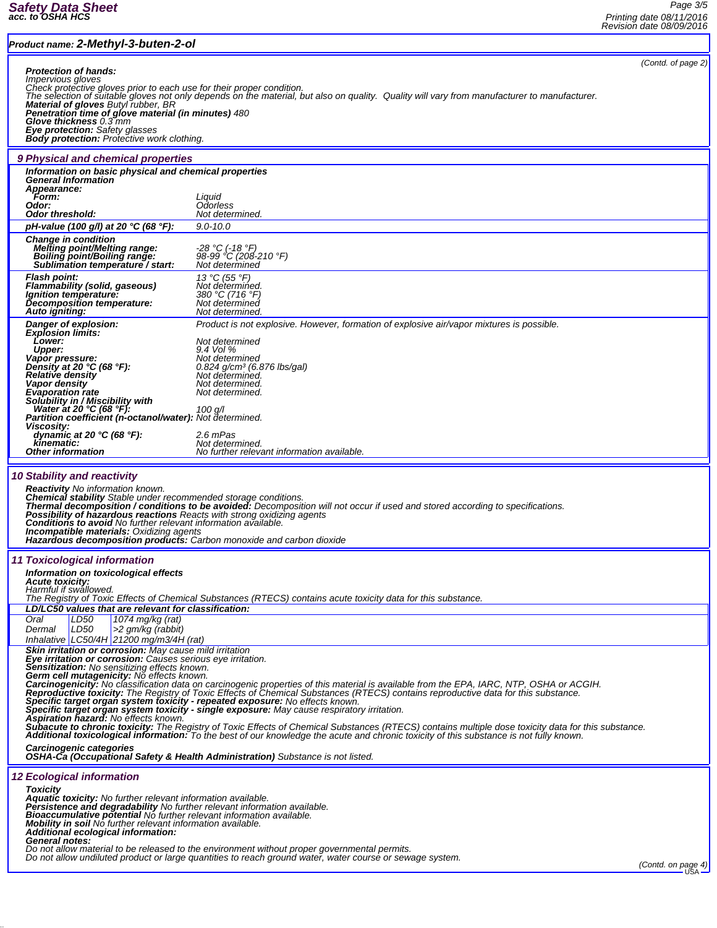r

## *Product name: 2-Methyl-3-buten-2-ol*

*Page 3/5 Printing date 08/11/2016 Revision date 08/09/2016*

| Product name: 2-Methyl-3-buten-2-ol                                                                                                                                                                                                                                                                                                                                                                                                                                                                                                                                     |                                                                                                                                                                                                                                                                                                |                    |  |  |
|-------------------------------------------------------------------------------------------------------------------------------------------------------------------------------------------------------------------------------------------------------------------------------------------------------------------------------------------------------------------------------------------------------------------------------------------------------------------------------------------------------------------------------------------------------------------------|------------------------------------------------------------------------------------------------------------------------------------------------------------------------------------------------------------------------------------------------------------------------------------------------|--------------------|--|--|
| <b>Protection of hands:</b><br><i>Impervious gloves</i>                                                                                                                                                                                                                                                                                                                                                                                                                                                                                                                 | Check protective gloves prior to each use for their proper condition.<br>The selection of suitable gloves not only depends on the material, but also on quality. Quality will vary from manufacturer to manufacturer.                                                                          | (Contd. of page 2) |  |  |
| Material of gloves Butyl rubber, BR<br>Penetration time of glove material (in minutes) 480<br>Glove thickness 0.3 mm<br><b>Eye protection:</b> Safety glasses<br><b>Body protection:</b> Protective work clothing.                                                                                                                                                                                                                                                                                                                                                      |                                                                                                                                                                                                                                                                                                |                    |  |  |
| 9 Physical and chemical properties                                                                                                                                                                                                                                                                                                                                                                                                                                                                                                                                      |                                                                                                                                                                                                                                                                                                |                    |  |  |
| Information on basic physical and chemical properties<br><b>General Information</b><br>Appearance:                                                                                                                                                                                                                                                                                                                                                                                                                                                                      |                                                                                                                                                                                                                                                                                                |                    |  |  |
| Form:<br>Odor:<br>Odor threshold:                                                                                                                                                                                                                                                                                                                                                                                                                                                                                                                                       | Liquid<br>Odorless<br>Not determined.                                                                                                                                                                                                                                                          |                    |  |  |
| pH-value (100 g/l) at 20 °C (68 °F):                                                                                                                                                                                                                                                                                                                                                                                                                                                                                                                                    | $9.0 - 10.0$                                                                                                                                                                                                                                                                                   |                    |  |  |
| <b>Change in condition</b><br>Melting point/Melting range:<br>Boiling point/Boiling range:<br>Sublimation temperature / start:                                                                                                                                                                                                                                                                                                                                                                                                                                          | -28 ℃ (-18 °F)<br>98-99 °C (208-210 °F)<br>Not determined                                                                                                                                                                                                                                      |                    |  |  |
| <b>Flash point:</b><br><b>Flammability (solid, gaseous)</b><br>Ignition temperature:<br>Decomposition temperature:<br>Auto igniting:                                                                                                                                                                                                                                                                                                                                                                                                                                    | 13 °C (55 °F)<br>Not determined.<br>380 °C (716 °F)<br>Not determined<br>Not determined.                                                                                                                                                                                                       |                    |  |  |
| Danger of explosion:<br><b>Explosion limits:</b>                                                                                                                                                                                                                                                                                                                                                                                                                                                                                                                        | Product is not explosive. However, formation of explosive air/vapor mixtures is possible.                                                                                                                                                                                                      |                    |  |  |
| Lower:                                                                                                                                                                                                                                                                                                                                                                                                                                                                                                                                                                  | Not determined                                                                                                                                                                                                                                                                                 |                    |  |  |
| <b>Upper:</b><br>Vapor pressure:                                                                                                                                                                                                                                                                                                                                                                                                                                                                                                                                        | 9.4 Vol %<br>Not determined                                                                                                                                                                                                                                                                    |                    |  |  |
| Density at 20 °C (68 °F):<br><b>Relative density</b>                                                                                                                                                                                                                                                                                                                                                                                                                                                                                                                    | $0.824$ g/cm <sup>3</sup> (6.876 lbs/gal)<br>Not determined.                                                                                                                                                                                                                                   |                    |  |  |
| Vapor density<br><b>Evaporation rate</b>                                                                                                                                                                                                                                                                                                                                                                                                                                                                                                                                | Not determined.<br>Not determined.                                                                                                                                                                                                                                                             |                    |  |  |
| Solubility in / Miscibility with<br>Water at 20 °C (68 °F):                                                                                                                                                                                                                                                                                                                                                                                                                                                                                                             | 100 g/l                                                                                                                                                                                                                                                                                        |                    |  |  |
| Partition coefficient (n-octanol/water): Not determined.                                                                                                                                                                                                                                                                                                                                                                                                                                                                                                                |                                                                                                                                                                                                                                                                                                |                    |  |  |
| <b>Viscosity:</b><br>dynamic at 20 $°C$ (68 °F):                                                                                                                                                                                                                                                                                                                                                                                                                                                                                                                        | 2.6 mPas                                                                                                                                                                                                                                                                                       |                    |  |  |
| kinematic:<br><b>Other information</b>                                                                                                                                                                                                                                                                                                                                                                                                                                                                                                                                  | Not determined.<br>No further relevant information available.                                                                                                                                                                                                                                  |                    |  |  |
| <b>10 Stability and reactivity</b><br><b>Reactivity</b> No information known.<br>Chemical stability Stable under recommended storage conditions.<br>Thermal decomposition / conditions to be avoided: Decomposition will not occur if used and stored according to specifications.<br><b>Possibility of hazardous reactions</b> Reacts with strong oxidizing agents<br>Conditions to avoid No further relevant information available.<br><b>Incompatible materials:</b> Oxidizing agents<br><b>Hazardous decomposition products:</b> Carbon monoxide and carbon dioxide |                                                                                                                                                                                                                                                                                                |                    |  |  |
| 11 Toxicological information                                                                                                                                                                                                                                                                                                                                                                                                                                                                                                                                            |                                                                                                                                                                                                                                                                                                |                    |  |  |
| Information on toxicological effects<br><b>Acute toxicity:</b>                                                                                                                                                                                                                                                                                                                                                                                                                                                                                                          |                                                                                                                                                                                                                                                                                                |                    |  |  |
| Harmful if swallowed.                                                                                                                                                                                                                                                                                                                                                                                                                                                                                                                                                   | The Registry of Toxic Effects of Chemical Substances (RTECS) contains acute toxicity data for this substance.                                                                                                                                                                                  |                    |  |  |
| LD/LC50 values that are relevant for classification:                                                                                                                                                                                                                                                                                                                                                                                                                                                                                                                    |                                                                                                                                                                                                                                                                                                |                    |  |  |
| Oral<br>LD50<br>1074 mg/kg (rat)<br>Dermal<br>LD50<br>>2 gm/kg (rabbit)<br>Inhalative   LC50/4H   21200 mg/m3/4H (rat)                                                                                                                                                                                                                                                                                                                                                                                                                                                  |                                                                                                                                                                                                                                                                                                |                    |  |  |
| Skin irritation or corrosion: May cause mild irritation<br><b>Eye irritation or corrosion:</b> Causes serious eye irritation.                                                                                                                                                                                                                                                                                                                                                                                                                                           |                                                                                                                                                                                                                                                                                                |                    |  |  |
| Sensitization: No sensitizing effects known.                                                                                                                                                                                                                                                                                                                                                                                                                                                                                                                            |                                                                                                                                                                                                                                                                                                |                    |  |  |
|                                                                                                                                                                                                                                                                                                                                                                                                                                                                                                                                                                         | Serm cell mutagenicity: No effects known.<br>Carcinogenicity: No classification data on carcinogenic properties of this material is available from the EPA, IARC, NTP, OSHA or ACGIH.<br>Carcinogenicity: No classification data on                                                            |                    |  |  |
|                                                                                                                                                                                                                                                                                                                                                                                                                                                                                                                                                                         | Specific target organ system toxicity - repeated exposure: No effects known.                                                                                                                                                                                                                   |                    |  |  |
| Aspiration hazard: No effects known.                                                                                                                                                                                                                                                                                                                                                                                                                                                                                                                                    | Specific target organ system toxicity - single exposure: May cause respiratory irritation.                                                                                                                                                                                                     |                    |  |  |
|                                                                                                                                                                                                                                                                                                                                                                                                                                                                                                                                                                         | Subacute to chronic toxicity: The Registry of Toxic Effects of Chemical Substances (RTECS) contains multiple dose toxicity data for this substance.<br>Additional toxicological information. To the best of our knowledge the acute and chronic toxicity of this substance is not fully known. |                    |  |  |
| Carcinogenic categories                                                                                                                                                                                                                                                                                                                                                                                                                                                                                                                                                 | <b>OSHA-Ca (Occupational Safety &amp; Health Administration)</b> Substance is not listed.                                                                                                                                                                                                      |                    |  |  |
| <b>12 Ecological information</b>                                                                                                                                                                                                                                                                                                                                                                                                                                                                                                                                        |                                                                                                                                                                                                                                                                                                |                    |  |  |
| <b>Toxicity</b>                                                                                                                                                                                                                                                                                                                                                                                                                                                                                                                                                         |                                                                                                                                                                                                                                                                                                |                    |  |  |
| Aquatic toxicity: No further relevant information available.<br>Persistence and degradability No further relevant information available.                                                                                                                                                                                                                                                                                                                                                                                                                                |                                                                                                                                                                                                                                                                                                |                    |  |  |
| <b>Bioaccumulative potential</b> No further relevant information available.<br>Mobility in soil No further relevant information available.                                                                                                                                                                                                                                                                                                                                                                                                                              |                                                                                                                                                                                                                                                                                                |                    |  |  |
| Additional ecological information:<br><b>General notes:</b>                                                                                                                                                                                                                                                                                                                                                                                                                                                                                                             |                                                                                                                                                                                                                                                                                                |                    |  |  |
|                                                                                                                                                                                                                                                                                                                                                                                                                                                                                                                                                                         | Do not allow material to be released to the environment without proper governmental permits.<br>Do not allow undiluted product or large quantities to reach ground water, water course or sewage system.                                                                                       |                    |  |  |
|                                                                                                                                                                                                                                                                                                                                                                                                                                                                                                                                                                         |                                                                                                                                                                                                                                                                                                | (Contd. on page 4) |  |  |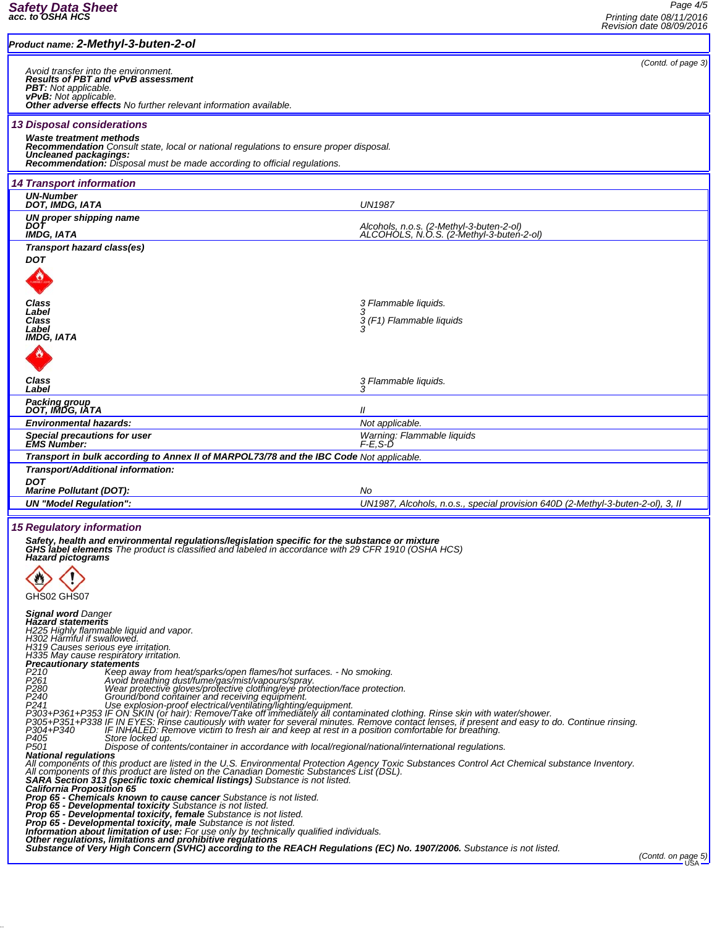Ŀ

| (Contd. of page 3)<br>Avoid transfer into the environment.<br><b>Results of PBT and vPvB assessment</b><br><b>PBT:</b> Not applicable.<br><b>vPvB:</b> Not applicable.<br>Other adverse effects No further relevant information available.<br><b>13 Disposal considerations</b><br>Waste treatment methods<br><b>Recommendation</b> Consult state, local or national regulations to ensure proper disposal.<br>Uncleaned packagings:<br><b>Recommendation:</b> Disposal must be made according to official regulations.<br><b>14 Transport information</b><br><b>UN-Number</b><br>DOT, IMDG, IATA<br><b>UN1987</b><br>UN proper shipping name<br>DOT<br>Alcohols, n.o.s. (2-Methyl-3-buten-2-ol)<br>ALCOHOLS, N.O.S. (2-Methyl-3-buten-2-ol)<br>IMDG, IATA<br>Transport hazard class(es)<br><b>DOT</b><br>Class<br>3 Flammable liquids.<br>Label<br>Class<br>3 (F1) Flammable liquids<br>Label<br>IMDG, IATA<br>Class<br>3 Flammable liquids.<br>Label<br>Packing group<br>DOT, IMDG, IATA<br>Ш<br><b>Environmental hazards:</b><br>Not applicable.<br>Special precautions for user<br>Warning: Flammable liquids<br><b>EMS Number:</b><br>F-E.S-Ď<br>Transport in bulk according to Annex II of MARPOL73/78 and the IBC Code Not applicable.<br>Transport/Additional information:<br><b>DOT</b><br><b>Marine Pollutant (DOT):</b><br>No<br><b>UN "Model Regulation":</b><br>UN1987, Alcohols, n.o.s., special provision 640D (2-Methyl-3-buten-2-ol), 3, II<br><b>15 Regulatory information</b><br>Safety, health and environmental regulations/legislation specific for the substance or mixture<br><b>GHS label elements</b> The product is classified and labeled in accordance with 29 CFR 1910 (OSHA HCS)<br><b>Hazard pictograms</b><br>GHS02 GHS07<br><b>Signal word Danger</b><br><b>Hazard statements</b><br>H225 Highly flammable liquid and vapor.<br>H302 Harmful if swallowed.<br>H319 Causes serious eye irritation.<br>H335 May cause respiratory irritation.<br>Precautionary statements<br>P <sub>210</sub><br>Keep away from heat/sparks/open flames/hot surfaces. - No smoking.<br>P <sub>261</sub><br>Avoid breathing dust/fume/gas/mist/vapours/spray.<br>F280<br>P280 Mear protective gloves/protective clothing/eye protection/face protection.<br>P240 Ground/bond container and receiving equipment.<br>P241 See explosion-profective clothing/inghing/equipment.<br>P303+P361+P353 IF ON SKIN (<br>IF INHALED: Remove victim to fresh air and keep at rest in a position comfortable for breathing.<br>P304+P340<br>P405<br>Store locked up.<br>P <sub>501</sub><br>Dispose of contents/container in accordance with local/regional/national/international regulations.<br><b>National regulations</b><br>All components of this product are listed in the U.S. Environmental Protection Agency Toxic Substances Control Act Chemical substance Inventory.<br>All components of this product are listed on the Canadian Domestic Substances List (DSL).<br>SARA Section 313 (specific toxic chemical listings) Substance is not listed.<br>California Proposition 65<br>Prop 65 - Chemicals known to cause cancer Substance is not listed.<br>Prop 65 - Developmental toxicity Substance is not listed.<br>Prop 65 - Developmental toxicity, female Substance is not listed.<br>Prop 65 - Developmental toxicity, female Substance is not listed.<br>Information about limitation of use: For use only by technically qualified individuals.<br>Ot<br>(Contd. on page 5) | Product name: 2-Methyl-3-buten-2-ol |  |  |  |  |
|-----------------------------------------------------------------------------------------------------------------------------------------------------------------------------------------------------------------------------------------------------------------------------------------------------------------------------------------------------------------------------------------------------------------------------------------------------------------------------------------------------------------------------------------------------------------------------------------------------------------------------------------------------------------------------------------------------------------------------------------------------------------------------------------------------------------------------------------------------------------------------------------------------------------------------------------------------------------------------------------------------------------------------------------------------------------------------------------------------------------------------------------------------------------------------------------------------------------------------------------------------------------------------------------------------------------------------------------------------------------------------------------------------------------------------------------------------------------------------------------------------------------------------------------------------------------------------------------------------------------------------------------------------------------------------------------------------------------------------------------------------------------------------------------------------------------------------------------------------------------------------------------------------------------------------------------------------------------------------------------------------------------------------------------------------------------------------------------------------------------------------------------------------------------------------------------------------------------------------------------------------------------------------------------------------------------------------------------------------------------------------------------------------------------------------------------------------------------------------------------------------------------------------------------------------------------------------------------------------------------------------------------------------------------------------------------------------------------------------------------------------------------------------------------------------------------------------------------------------------------------------------------------------------------------------------------------------------------------------------------------------------------------------------------------------------------------------------------------------------------------------------------------------------------------------------------------------------------------------------------------------------------------------------------------------------------------------------------------------------------------------------------------------------------------------------------------------------------------------------------------------|-------------------------------------|--|--|--|--|
|                                                                                                                                                                                                                                                                                                                                                                                                                                                                                                                                                                                                                                                                                                                                                                                                                                                                                                                                                                                                                                                                                                                                                                                                                                                                                                                                                                                                                                                                                                                                                                                                                                                                                                                                                                                                                                                                                                                                                                                                                                                                                                                                                                                                                                                                                                                                                                                                                                                                                                                                                                                                                                                                                                                                                                                                                                                                                                                                                                                                                                                                                                                                                                                                                                                                                                                                                                                                                                                                                                     |                                     |  |  |  |  |
|                                                                                                                                                                                                                                                                                                                                                                                                                                                                                                                                                                                                                                                                                                                                                                                                                                                                                                                                                                                                                                                                                                                                                                                                                                                                                                                                                                                                                                                                                                                                                                                                                                                                                                                                                                                                                                                                                                                                                                                                                                                                                                                                                                                                                                                                                                                                                                                                                                                                                                                                                                                                                                                                                                                                                                                                                                                                                                                                                                                                                                                                                                                                                                                                                                                                                                                                                                                                                                                                                                     |                                     |  |  |  |  |
|                                                                                                                                                                                                                                                                                                                                                                                                                                                                                                                                                                                                                                                                                                                                                                                                                                                                                                                                                                                                                                                                                                                                                                                                                                                                                                                                                                                                                                                                                                                                                                                                                                                                                                                                                                                                                                                                                                                                                                                                                                                                                                                                                                                                                                                                                                                                                                                                                                                                                                                                                                                                                                                                                                                                                                                                                                                                                                                                                                                                                                                                                                                                                                                                                                                                                                                                                                                                                                                                                                     |                                     |  |  |  |  |
|                                                                                                                                                                                                                                                                                                                                                                                                                                                                                                                                                                                                                                                                                                                                                                                                                                                                                                                                                                                                                                                                                                                                                                                                                                                                                                                                                                                                                                                                                                                                                                                                                                                                                                                                                                                                                                                                                                                                                                                                                                                                                                                                                                                                                                                                                                                                                                                                                                                                                                                                                                                                                                                                                                                                                                                                                                                                                                                                                                                                                                                                                                                                                                                                                                                                                                                                                                                                                                                                                                     |                                     |  |  |  |  |
|                                                                                                                                                                                                                                                                                                                                                                                                                                                                                                                                                                                                                                                                                                                                                                                                                                                                                                                                                                                                                                                                                                                                                                                                                                                                                                                                                                                                                                                                                                                                                                                                                                                                                                                                                                                                                                                                                                                                                                                                                                                                                                                                                                                                                                                                                                                                                                                                                                                                                                                                                                                                                                                                                                                                                                                                                                                                                                                                                                                                                                                                                                                                                                                                                                                                                                                                                                                                                                                                                                     |                                     |  |  |  |  |
|                                                                                                                                                                                                                                                                                                                                                                                                                                                                                                                                                                                                                                                                                                                                                                                                                                                                                                                                                                                                                                                                                                                                                                                                                                                                                                                                                                                                                                                                                                                                                                                                                                                                                                                                                                                                                                                                                                                                                                                                                                                                                                                                                                                                                                                                                                                                                                                                                                                                                                                                                                                                                                                                                                                                                                                                                                                                                                                                                                                                                                                                                                                                                                                                                                                                                                                                                                                                                                                                                                     |                                     |  |  |  |  |
|                                                                                                                                                                                                                                                                                                                                                                                                                                                                                                                                                                                                                                                                                                                                                                                                                                                                                                                                                                                                                                                                                                                                                                                                                                                                                                                                                                                                                                                                                                                                                                                                                                                                                                                                                                                                                                                                                                                                                                                                                                                                                                                                                                                                                                                                                                                                                                                                                                                                                                                                                                                                                                                                                                                                                                                                                                                                                                                                                                                                                                                                                                                                                                                                                                                                                                                                                                                                                                                                                                     |                                     |  |  |  |  |
|                                                                                                                                                                                                                                                                                                                                                                                                                                                                                                                                                                                                                                                                                                                                                                                                                                                                                                                                                                                                                                                                                                                                                                                                                                                                                                                                                                                                                                                                                                                                                                                                                                                                                                                                                                                                                                                                                                                                                                                                                                                                                                                                                                                                                                                                                                                                                                                                                                                                                                                                                                                                                                                                                                                                                                                                                                                                                                                                                                                                                                                                                                                                                                                                                                                                                                                                                                                                                                                                                                     |                                     |  |  |  |  |
|                                                                                                                                                                                                                                                                                                                                                                                                                                                                                                                                                                                                                                                                                                                                                                                                                                                                                                                                                                                                                                                                                                                                                                                                                                                                                                                                                                                                                                                                                                                                                                                                                                                                                                                                                                                                                                                                                                                                                                                                                                                                                                                                                                                                                                                                                                                                                                                                                                                                                                                                                                                                                                                                                                                                                                                                                                                                                                                                                                                                                                                                                                                                                                                                                                                                                                                                                                                                                                                                                                     |                                     |  |  |  |  |
|                                                                                                                                                                                                                                                                                                                                                                                                                                                                                                                                                                                                                                                                                                                                                                                                                                                                                                                                                                                                                                                                                                                                                                                                                                                                                                                                                                                                                                                                                                                                                                                                                                                                                                                                                                                                                                                                                                                                                                                                                                                                                                                                                                                                                                                                                                                                                                                                                                                                                                                                                                                                                                                                                                                                                                                                                                                                                                                                                                                                                                                                                                                                                                                                                                                                                                                                                                                                                                                                                                     |                                     |  |  |  |  |
|                                                                                                                                                                                                                                                                                                                                                                                                                                                                                                                                                                                                                                                                                                                                                                                                                                                                                                                                                                                                                                                                                                                                                                                                                                                                                                                                                                                                                                                                                                                                                                                                                                                                                                                                                                                                                                                                                                                                                                                                                                                                                                                                                                                                                                                                                                                                                                                                                                                                                                                                                                                                                                                                                                                                                                                                                                                                                                                                                                                                                                                                                                                                                                                                                                                                                                                                                                                                                                                                                                     |                                     |  |  |  |  |
|                                                                                                                                                                                                                                                                                                                                                                                                                                                                                                                                                                                                                                                                                                                                                                                                                                                                                                                                                                                                                                                                                                                                                                                                                                                                                                                                                                                                                                                                                                                                                                                                                                                                                                                                                                                                                                                                                                                                                                                                                                                                                                                                                                                                                                                                                                                                                                                                                                                                                                                                                                                                                                                                                                                                                                                                                                                                                                                                                                                                                                                                                                                                                                                                                                                                                                                                                                                                                                                                                                     |                                     |  |  |  |  |
|                                                                                                                                                                                                                                                                                                                                                                                                                                                                                                                                                                                                                                                                                                                                                                                                                                                                                                                                                                                                                                                                                                                                                                                                                                                                                                                                                                                                                                                                                                                                                                                                                                                                                                                                                                                                                                                                                                                                                                                                                                                                                                                                                                                                                                                                                                                                                                                                                                                                                                                                                                                                                                                                                                                                                                                                                                                                                                                                                                                                                                                                                                                                                                                                                                                                                                                                                                                                                                                                                                     |                                     |  |  |  |  |
|                                                                                                                                                                                                                                                                                                                                                                                                                                                                                                                                                                                                                                                                                                                                                                                                                                                                                                                                                                                                                                                                                                                                                                                                                                                                                                                                                                                                                                                                                                                                                                                                                                                                                                                                                                                                                                                                                                                                                                                                                                                                                                                                                                                                                                                                                                                                                                                                                                                                                                                                                                                                                                                                                                                                                                                                                                                                                                                                                                                                                                                                                                                                                                                                                                                                                                                                                                                                                                                                                                     |                                     |  |  |  |  |
|                                                                                                                                                                                                                                                                                                                                                                                                                                                                                                                                                                                                                                                                                                                                                                                                                                                                                                                                                                                                                                                                                                                                                                                                                                                                                                                                                                                                                                                                                                                                                                                                                                                                                                                                                                                                                                                                                                                                                                                                                                                                                                                                                                                                                                                                                                                                                                                                                                                                                                                                                                                                                                                                                                                                                                                                                                                                                                                                                                                                                                                                                                                                                                                                                                                                                                                                                                                                                                                                                                     |                                     |  |  |  |  |
|                                                                                                                                                                                                                                                                                                                                                                                                                                                                                                                                                                                                                                                                                                                                                                                                                                                                                                                                                                                                                                                                                                                                                                                                                                                                                                                                                                                                                                                                                                                                                                                                                                                                                                                                                                                                                                                                                                                                                                                                                                                                                                                                                                                                                                                                                                                                                                                                                                                                                                                                                                                                                                                                                                                                                                                                                                                                                                                                                                                                                                                                                                                                                                                                                                                                                                                                                                                                                                                                                                     |                                     |  |  |  |  |
|                                                                                                                                                                                                                                                                                                                                                                                                                                                                                                                                                                                                                                                                                                                                                                                                                                                                                                                                                                                                                                                                                                                                                                                                                                                                                                                                                                                                                                                                                                                                                                                                                                                                                                                                                                                                                                                                                                                                                                                                                                                                                                                                                                                                                                                                                                                                                                                                                                                                                                                                                                                                                                                                                                                                                                                                                                                                                                                                                                                                                                                                                                                                                                                                                                                                                                                                                                                                                                                                                                     |                                     |  |  |  |  |
|                                                                                                                                                                                                                                                                                                                                                                                                                                                                                                                                                                                                                                                                                                                                                                                                                                                                                                                                                                                                                                                                                                                                                                                                                                                                                                                                                                                                                                                                                                                                                                                                                                                                                                                                                                                                                                                                                                                                                                                                                                                                                                                                                                                                                                                                                                                                                                                                                                                                                                                                                                                                                                                                                                                                                                                                                                                                                                                                                                                                                                                                                                                                                                                                                                                                                                                                                                                                                                                                                                     |                                     |  |  |  |  |
|                                                                                                                                                                                                                                                                                                                                                                                                                                                                                                                                                                                                                                                                                                                                                                                                                                                                                                                                                                                                                                                                                                                                                                                                                                                                                                                                                                                                                                                                                                                                                                                                                                                                                                                                                                                                                                                                                                                                                                                                                                                                                                                                                                                                                                                                                                                                                                                                                                                                                                                                                                                                                                                                                                                                                                                                                                                                                                                                                                                                                                                                                                                                                                                                                                                                                                                                                                                                                                                                                                     |                                     |  |  |  |  |
|                                                                                                                                                                                                                                                                                                                                                                                                                                                                                                                                                                                                                                                                                                                                                                                                                                                                                                                                                                                                                                                                                                                                                                                                                                                                                                                                                                                                                                                                                                                                                                                                                                                                                                                                                                                                                                                                                                                                                                                                                                                                                                                                                                                                                                                                                                                                                                                                                                                                                                                                                                                                                                                                                                                                                                                                                                                                                                                                                                                                                                                                                                                                                                                                                                                                                                                                                                                                                                                                                                     |                                     |  |  |  |  |
|                                                                                                                                                                                                                                                                                                                                                                                                                                                                                                                                                                                                                                                                                                                                                                                                                                                                                                                                                                                                                                                                                                                                                                                                                                                                                                                                                                                                                                                                                                                                                                                                                                                                                                                                                                                                                                                                                                                                                                                                                                                                                                                                                                                                                                                                                                                                                                                                                                                                                                                                                                                                                                                                                                                                                                                                                                                                                                                                                                                                                                                                                                                                                                                                                                                                                                                                                                                                                                                                                                     |                                     |  |  |  |  |
|                                                                                                                                                                                                                                                                                                                                                                                                                                                                                                                                                                                                                                                                                                                                                                                                                                                                                                                                                                                                                                                                                                                                                                                                                                                                                                                                                                                                                                                                                                                                                                                                                                                                                                                                                                                                                                                                                                                                                                                                                                                                                                                                                                                                                                                                                                                                                                                                                                                                                                                                                                                                                                                                                                                                                                                                                                                                                                                                                                                                                                                                                                                                                                                                                                                                                                                                                                                                                                                                                                     |                                     |  |  |  |  |
|                                                                                                                                                                                                                                                                                                                                                                                                                                                                                                                                                                                                                                                                                                                                                                                                                                                                                                                                                                                                                                                                                                                                                                                                                                                                                                                                                                                                                                                                                                                                                                                                                                                                                                                                                                                                                                                                                                                                                                                                                                                                                                                                                                                                                                                                                                                                                                                                                                                                                                                                                                                                                                                                                                                                                                                                                                                                                                                                                                                                                                                                                                                                                                                                                                                                                                                                                                                                                                                                                                     |                                     |  |  |  |  |
|                                                                                                                                                                                                                                                                                                                                                                                                                                                                                                                                                                                                                                                                                                                                                                                                                                                                                                                                                                                                                                                                                                                                                                                                                                                                                                                                                                                                                                                                                                                                                                                                                                                                                                                                                                                                                                                                                                                                                                                                                                                                                                                                                                                                                                                                                                                                                                                                                                                                                                                                                                                                                                                                                                                                                                                                                                                                                                                                                                                                                                                                                                                                                                                                                                                                                                                                                                                                                                                                                                     |                                     |  |  |  |  |
|                                                                                                                                                                                                                                                                                                                                                                                                                                                                                                                                                                                                                                                                                                                                                                                                                                                                                                                                                                                                                                                                                                                                                                                                                                                                                                                                                                                                                                                                                                                                                                                                                                                                                                                                                                                                                                                                                                                                                                                                                                                                                                                                                                                                                                                                                                                                                                                                                                                                                                                                                                                                                                                                                                                                                                                                                                                                                                                                                                                                                                                                                                                                                                                                                                                                                                                                                                                                                                                                                                     |                                     |  |  |  |  |
|                                                                                                                                                                                                                                                                                                                                                                                                                                                                                                                                                                                                                                                                                                                                                                                                                                                                                                                                                                                                                                                                                                                                                                                                                                                                                                                                                                                                                                                                                                                                                                                                                                                                                                                                                                                                                                                                                                                                                                                                                                                                                                                                                                                                                                                                                                                                                                                                                                                                                                                                                                                                                                                                                                                                                                                                                                                                                                                                                                                                                                                                                                                                                                                                                                                                                                                                                                                                                                                                                                     |                                     |  |  |  |  |
|                                                                                                                                                                                                                                                                                                                                                                                                                                                                                                                                                                                                                                                                                                                                                                                                                                                                                                                                                                                                                                                                                                                                                                                                                                                                                                                                                                                                                                                                                                                                                                                                                                                                                                                                                                                                                                                                                                                                                                                                                                                                                                                                                                                                                                                                                                                                                                                                                                                                                                                                                                                                                                                                                                                                                                                                                                                                                                                                                                                                                                                                                                                                                                                                                                                                                                                                                                                                                                                                                                     |                                     |  |  |  |  |
|                                                                                                                                                                                                                                                                                                                                                                                                                                                                                                                                                                                                                                                                                                                                                                                                                                                                                                                                                                                                                                                                                                                                                                                                                                                                                                                                                                                                                                                                                                                                                                                                                                                                                                                                                                                                                                                                                                                                                                                                                                                                                                                                                                                                                                                                                                                                                                                                                                                                                                                                                                                                                                                                                                                                                                                                                                                                                                                                                                                                                                                                                                                                                                                                                                                                                                                                                                                                                                                                                                     |                                     |  |  |  |  |
|                                                                                                                                                                                                                                                                                                                                                                                                                                                                                                                                                                                                                                                                                                                                                                                                                                                                                                                                                                                                                                                                                                                                                                                                                                                                                                                                                                                                                                                                                                                                                                                                                                                                                                                                                                                                                                                                                                                                                                                                                                                                                                                                                                                                                                                                                                                                                                                                                                                                                                                                                                                                                                                                                                                                                                                                                                                                                                                                                                                                                                                                                                                                                                                                                                                                                                                                                                                                                                                                                                     |                                     |  |  |  |  |
|                                                                                                                                                                                                                                                                                                                                                                                                                                                                                                                                                                                                                                                                                                                                                                                                                                                                                                                                                                                                                                                                                                                                                                                                                                                                                                                                                                                                                                                                                                                                                                                                                                                                                                                                                                                                                                                                                                                                                                                                                                                                                                                                                                                                                                                                                                                                                                                                                                                                                                                                                                                                                                                                                                                                                                                                                                                                                                                                                                                                                                                                                                                                                                                                                                                                                                                                                                                                                                                                                                     |                                     |  |  |  |  |
|                                                                                                                                                                                                                                                                                                                                                                                                                                                                                                                                                                                                                                                                                                                                                                                                                                                                                                                                                                                                                                                                                                                                                                                                                                                                                                                                                                                                                                                                                                                                                                                                                                                                                                                                                                                                                                                                                                                                                                                                                                                                                                                                                                                                                                                                                                                                                                                                                                                                                                                                                                                                                                                                                                                                                                                                                                                                                                                                                                                                                                                                                                                                                                                                                                                                                                                                                                                                                                                                                                     |                                     |  |  |  |  |
|                                                                                                                                                                                                                                                                                                                                                                                                                                                                                                                                                                                                                                                                                                                                                                                                                                                                                                                                                                                                                                                                                                                                                                                                                                                                                                                                                                                                                                                                                                                                                                                                                                                                                                                                                                                                                                                                                                                                                                                                                                                                                                                                                                                                                                                                                                                                                                                                                                                                                                                                                                                                                                                                                                                                                                                                                                                                                                                                                                                                                                                                                                                                                                                                                                                                                                                                                                                                                                                                                                     |                                     |  |  |  |  |
|                                                                                                                                                                                                                                                                                                                                                                                                                                                                                                                                                                                                                                                                                                                                                                                                                                                                                                                                                                                                                                                                                                                                                                                                                                                                                                                                                                                                                                                                                                                                                                                                                                                                                                                                                                                                                                                                                                                                                                                                                                                                                                                                                                                                                                                                                                                                                                                                                                                                                                                                                                                                                                                                                                                                                                                                                                                                                                                                                                                                                                                                                                                                                                                                                                                                                                                                                                                                                                                                                                     |                                     |  |  |  |  |
|                                                                                                                                                                                                                                                                                                                                                                                                                                                                                                                                                                                                                                                                                                                                                                                                                                                                                                                                                                                                                                                                                                                                                                                                                                                                                                                                                                                                                                                                                                                                                                                                                                                                                                                                                                                                                                                                                                                                                                                                                                                                                                                                                                                                                                                                                                                                                                                                                                                                                                                                                                                                                                                                                                                                                                                                                                                                                                                                                                                                                                                                                                                                                                                                                                                                                                                                                                                                                                                                                                     |                                     |  |  |  |  |
|                                                                                                                                                                                                                                                                                                                                                                                                                                                                                                                                                                                                                                                                                                                                                                                                                                                                                                                                                                                                                                                                                                                                                                                                                                                                                                                                                                                                                                                                                                                                                                                                                                                                                                                                                                                                                                                                                                                                                                                                                                                                                                                                                                                                                                                                                                                                                                                                                                                                                                                                                                                                                                                                                                                                                                                                                                                                                                                                                                                                                                                                                                                                                                                                                                                                                                                                                                                                                                                                                                     |                                     |  |  |  |  |
|                                                                                                                                                                                                                                                                                                                                                                                                                                                                                                                                                                                                                                                                                                                                                                                                                                                                                                                                                                                                                                                                                                                                                                                                                                                                                                                                                                                                                                                                                                                                                                                                                                                                                                                                                                                                                                                                                                                                                                                                                                                                                                                                                                                                                                                                                                                                                                                                                                                                                                                                                                                                                                                                                                                                                                                                                                                                                                                                                                                                                                                                                                                                                                                                                                                                                                                                                                                                                                                                                                     |                                     |  |  |  |  |
|                                                                                                                                                                                                                                                                                                                                                                                                                                                                                                                                                                                                                                                                                                                                                                                                                                                                                                                                                                                                                                                                                                                                                                                                                                                                                                                                                                                                                                                                                                                                                                                                                                                                                                                                                                                                                                                                                                                                                                                                                                                                                                                                                                                                                                                                                                                                                                                                                                                                                                                                                                                                                                                                                                                                                                                                                                                                                                                                                                                                                                                                                                                                                                                                                                                                                                                                                                                                                                                                                                     |                                     |  |  |  |  |
|                                                                                                                                                                                                                                                                                                                                                                                                                                                                                                                                                                                                                                                                                                                                                                                                                                                                                                                                                                                                                                                                                                                                                                                                                                                                                                                                                                                                                                                                                                                                                                                                                                                                                                                                                                                                                                                                                                                                                                                                                                                                                                                                                                                                                                                                                                                                                                                                                                                                                                                                                                                                                                                                                                                                                                                                                                                                                                                                                                                                                                                                                                                                                                                                                                                                                                                                                                                                                                                                                                     |                                     |  |  |  |  |
|                                                                                                                                                                                                                                                                                                                                                                                                                                                                                                                                                                                                                                                                                                                                                                                                                                                                                                                                                                                                                                                                                                                                                                                                                                                                                                                                                                                                                                                                                                                                                                                                                                                                                                                                                                                                                                                                                                                                                                                                                                                                                                                                                                                                                                                                                                                                                                                                                                                                                                                                                                                                                                                                                                                                                                                                                                                                                                                                                                                                                                                                                                                                                                                                                                                                                                                                                                                                                                                                                                     |                                     |  |  |  |  |
|                                                                                                                                                                                                                                                                                                                                                                                                                                                                                                                                                                                                                                                                                                                                                                                                                                                                                                                                                                                                                                                                                                                                                                                                                                                                                                                                                                                                                                                                                                                                                                                                                                                                                                                                                                                                                                                                                                                                                                                                                                                                                                                                                                                                                                                                                                                                                                                                                                                                                                                                                                                                                                                                                                                                                                                                                                                                                                                                                                                                                                                                                                                                                                                                                                                                                                                                                                                                                                                                                                     |                                     |  |  |  |  |
|                                                                                                                                                                                                                                                                                                                                                                                                                                                                                                                                                                                                                                                                                                                                                                                                                                                                                                                                                                                                                                                                                                                                                                                                                                                                                                                                                                                                                                                                                                                                                                                                                                                                                                                                                                                                                                                                                                                                                                                                                                                                                                                                                                                                                                                                                                                                                                                                                                                                                                                                                                                                                                                                                                                                                                                                                                                                                                                                                                                                                                                                                                                                                                                                                                                                                                                                                                                                                                                                                                     |                                     |  |  |  |  |
|                                                                                                                                                                                                                                                                                                                                                                                                                                                                                                                                                                                                                                                                                                                                                                                                                                                                                                                                                                                                                                                                                                                                                                                                                                                                                                                                                                                                                                                                                                                                                                                                                                                                                                                                                                                                                                                                                                                                                                                                                                                                                                                                                                                                                                                                                                                                                                                                                                                                                                                                                                                                                                                                                                                                                                                                                                                                                                                                                                                                                                                                                                                                                                                                                                                                                                                                                                                                                                                                                                     |                                     |  |  |  |  |
|                                                                                                                                                                                                                                                                                                                                                                                                                                                                                                                                                                                                                                                                                                                                                                                                                                                                                                                                                                                                                                                                                                                                                                                                                                                                                                                                                                                                                                                                                                                                                                                                                                                                                                                                                                                                                                                                                                                                                                                                                                                                                                                                                                                                                                                                                                                                                                                                                                                                                                                                                                                                                                                                                                                                                                                                                                                                                                                                                                                                                                                                                                                                                                                                                                                                                                                                                                                                                                                                                                     |                                     |  |  |  |  |
|                                                                                                                                                                                                                                                                                                                                                                                                                                                                                                                                                                                                                                                                                                                                                                                                                                                                                                                                                                                                                                                                                                                                                                                                                                                                                                                                                                                                                                                                                                                                                                                                                                                                                                                                                                                                                                                                                                                                                                                                                                                                                                                                                                                                                                                                                                                                                                                                                                                                                                                                                                                                                                                                                                                                                                                                                                                                                                                                                                                                                                                                                                                                                                                                                                                                                                                                                                                                                                                                                                     |                                     |  |  |  |  |
|                                                                                                                                                                                                                                                                                                                                                                                                                                                                                                                                                                                                                                                                                                                                                                                                                                                                                                                                                                                                                                                                                                                                                                                                                                                                                                                                                                                                                                                                                                                                                                                                                                                                                                                                                                                                                                                                                                                                                                                                                                                                                                                                                                                                                                                                                                                                                                                                                                                                                                                                                                                                                                                                                                                                                                                                                                                                                                                                                                                                                                                                                                                                                                                                                                                                                                                                                                                                                                                                                                     |                                     |  |  |  |  |
|                                                                                                                                                                                                                                                                                                                                                                                                                                                                                                                                                                                                                                                                                                                                                                                                                                                                                                                                                                                                                                                                                                                                                                                                                                                                                                                                                                                                                                                                                                                                                                                                                                                                                                                                                                                                                                                                                                                                                                                                                                                                                                                                                                                                                                                                                                                                                                                                                                                                                                                                                                                                                                                                                                                                                                                                                                                                                                                                                                                                                                                                                                                                                                                                                                                                                                                                                                                                                                                                                                     |                                     |  |  |  |  |
|                                                                                                                                                                                                                                                                                                                                                                                                                                                                                                                                                                                                                                                                                                                                                                                                                                                                                                                                                                                                                                                                                                                                                                                                                                                                                                                                                                                                                                                                                                                                                                                                                                                                                                                                                                                                                                                                                                                                                                                                                                                                                                                                                                                                                                                                                                                                                                                                                                                                                                                                                                                                                                                                                                                                                                                                                                                                                                                                                                                                                                                                                                                                                                                                                                                                                                                                                                                                                                                                                                     |                                     |  |  |  |  |
|                                                                                                                                                                                                                                                                                                                                                                                                                                                                                                                                                                                                                                                                                                                                                                                                                                                                                                                                                                                                                                                                                                                                                                                                                                                                                                                                                                                                                                                                                                                                                                                                                                                                                                                                                                                                                                                                                                                                                                                                                                                                                                                                                                                                                                                                                                                                                                                                                                                                                                                                                                                                                                                                                                                                                                                                                                                                                                                                                                                                                                                                                                                                                                                                                                                                                                                                                                                                                                                                                                     |                                     |  |  |  |  |
|                                                                                                                                                                                                                                                                                                                                                                                                                                                                                                                                                                                                                                                                                                                                                                                                                                                                                                                                                                                                                                                                                                                                                                                                                                                                                                                                                                                                                                                                                                                                                                                                                                                                                                                                                                                                                                                                                                                                                                                                                                                                                                                                                                                                                                                                                                                                                                                                                                                                                                                                                                                                                                                                                                                                                                                                                                                                                                                                                                                                                                                                                                                                                                                                                                                                                                                                                                                                                                                                                                     |                                     |  |  |  |  |